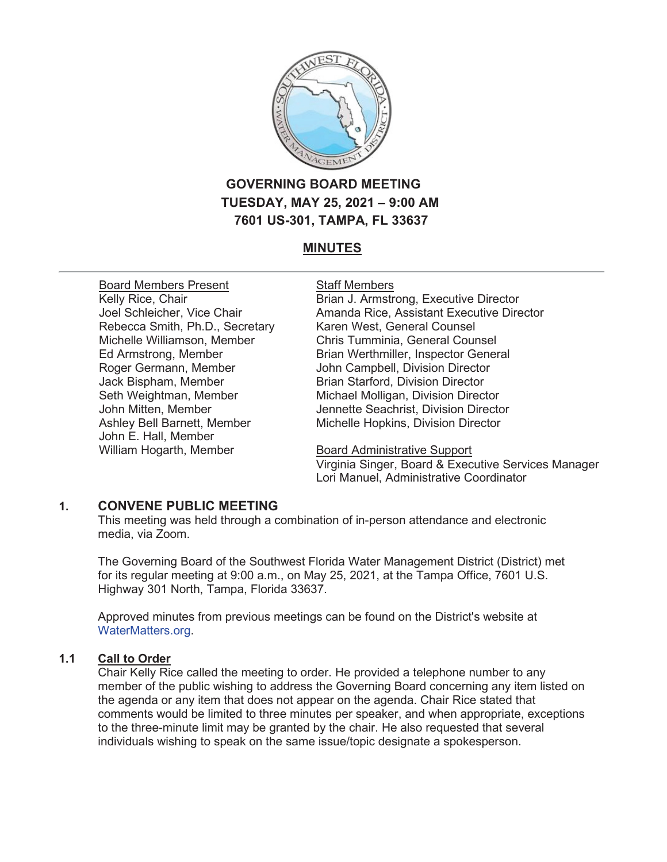

# **GOVERNING BOARD MEETING TUESDAY, MAY 25, 2021 – 9:00 AM 7601 US-301, TAMPA, FL 33637**

# **MINUTES**

Board Members Present Kelly Rice, Chair Joel Schleicher, Vice Chair Rebecca Smith, Ph.D., Secretary Michelle Williamson, Member Ed Armstrong, Member Roger Germann, Member Jack Bispham, Member Seth Weightman, Member John Mitten, Member Ashley Bell Barnett, Member John E. Hall, Member William Hogarth, Member

#### Staff Members

Brian J. Armstrong, Executive Director Amanda Rice, Assistant Executive Director Karen West, General Counsel Chris Tumminia, General Counsel Brian Werthmiller, Inspector General John Campbell, Division Director Brian Starford, Division Director Michael Molligan, Division Director Jennette Seachrist, Division Director Michelle Hopkins, Division Director

Board Administrative Support Virginia Singer, Board & Executive Services Manager Lori Manuel, Administrative Coordinator

# **1. CONVENE PUBLIC MEETING**

This meeting was held through a combination of in-person attendance and electronic media, via Zoom.

The Governing Board of the Southwest Florida Water Management District (District) met for its regular meeting at 9:00 a.m., on May 25, 2021, at the Tampa Office, 7601 U.S. Highway 301 North, Tampa, Florida 33637.

Approved minutes from previous meetings can be found on the District's website at WaterMatters.org.

# **1.1 Call to Order**

Chair Kelly Rice called the meeting to order. He provided a telephone number to any member of the public wishing to address the Governing Board concerning any item listed on the agenda or any item that does not appear on the agenda. Chair Rice stated that comments would be limited to three minutes per speaker, and when appropriate, exceptions to the three-minute limit may be granted by the chair. He also requested that several individuals wishing to speak on the same issue/topic designate a spokesperson.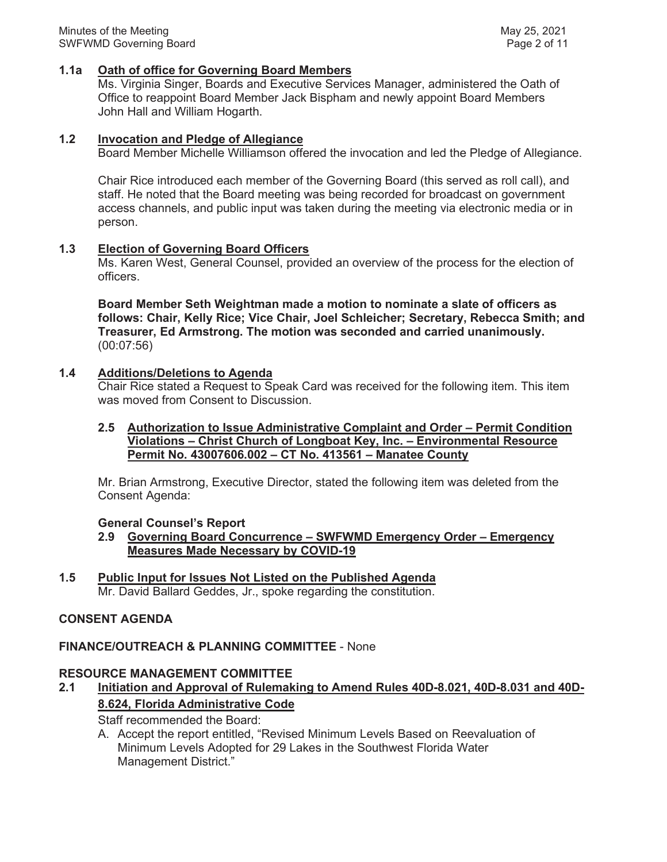#### **1.1a Oath of office for Governing Board Members**

Ms. Virginia Singer, Boards and Executive Services Manager, administered the Oath of Office to reappoint Board Member Jack Bispham and newly appoint Board Members John Hall and William Hogarth.

#### **1.2 Invocation and Pledge of Allegiance**

Board Member Michelle Williamson offered the invocation and led the Pledge of Allegiance.

Chair Rice introduced each member of the Governing Board (this served as roll call), and staff. He noted that the Board meeting was being recorded for broadcast on government access channels, and public input was taken during the meeting via electronic media or in person.

### **1.3 Election of Governing Board Officers**

Ms. Karen West, General Counsel, provided an overview of the process for the election of officers.

**Board Member Seth Weightman made a motion to nominate a slate of officers as follows: Chair, Kelly Rice; Vice Chair, Joel Schleicher; Secretary, Rebecca Smith; and Treasurer, Ed Armstrong. The motion was seconded and carried unanimously.** (00:07:56)

# **1.4 Additions/Deletions to Agenda**

Chair Rice stated a Request to Speak Card was received for the following item. This item was moved from Consent to Discussion.

#### **2.5 Authorization to Issue Administrative Complaint and Order – Permit Condition Violations – Christ Church of Longboat Key, Inc. – Environmental Resource Permit No. 43007606.002 – CT No. 413561 – Manatee County**

Mr. Brian Armstrong, Executive Director, stated the following item was deleted from the Consent Agenda:

#### **General Counsel's Report**

- **2.9 Governing Board Concurrence SWFWMD Emergency Order Emergency Measures Made Necessary by COVID-19**
- **1.5 Public Input for Issues Not Listed on the Published Agenda** Mr. David Ballard Geddes, Jr., spoke regarding the constitution.

# **CONSENT AGENDA**

### **FINANCE/OUTREACH & PLANNING COMMITTEE** - None

#### **RESOURCE MANAGEMENT COMMITTEE**

**2.1 Initiation and Approval of Rulemaking to Amend Rules 40D-8.021, 40D-8.031 and 40D-8.624, Florida Administrative Code**

Staff recommended the Board:

A. Accept the report entitled, "Revised Minimum Levels Based on Reevaluation of Minimum Levels Adopted for 29 Lakes in the Southwest Florida Water Management District."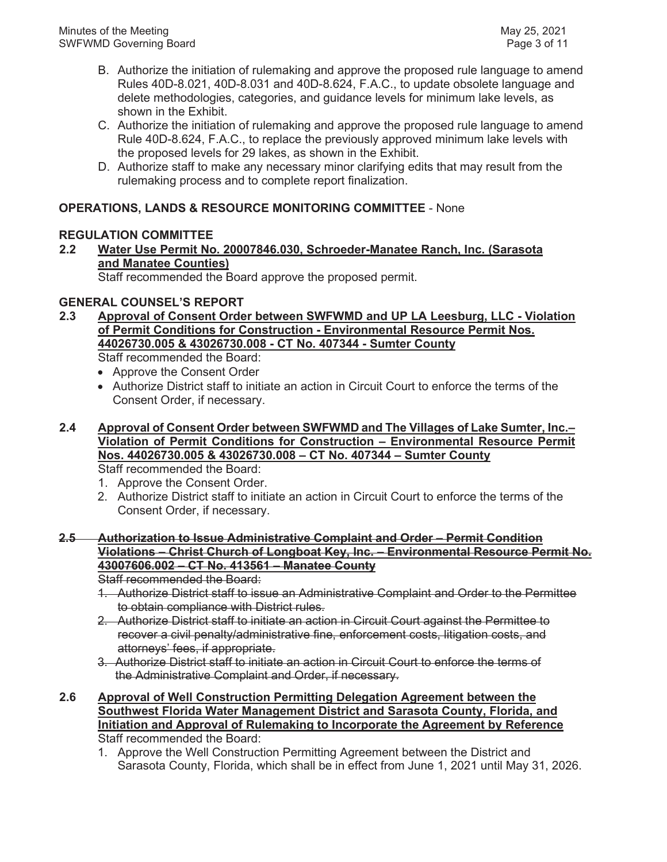- B. Authorize the initiation of rulemaking and approve the proposed rule language to amend Rules 40D-8.021, 40D-8.031 and 40D-8.624, F.A.C., to update obsolete language and delete methodologies, categories, and guidance levels for minimum lake levels, as shown in the Exhibit.
- C. Authorize the initiation of rulemaking and approve the proposed rule language to amend Rule 40D-8.624, F.A.C., to replace the previously approved minimum lake levels with the proposed levels for 29 lakes, as shown in the Exhibit.
- D. Authorize staff to make any necessary minor clarifying edits that may result from the rulemaking process and to complete report finalization.

# **OPERATIONS, LANDS & RESOURCE MONITORING COMMITTEE** - None

# **REGULATION COMMITTEE**

# **2.2 Water Use Permit No. 20007846.030, Schroeder-Manatee Ranch, Inc. (Sarasota and Manatee Counties)**

Staff recommended the Board approve the proposed permit.

# **GENERAL COUNSEL'S REPORT**

- **2.3 Approval of Consent Order between SWFWMD and UP LA Leesburg, LLC Violation of Permit Conditions for Construction - Environmental Resource Permit Nos. 44026730.005 & 43026730.008 - CT No. 407344 - Sumter County**  Staff recommended the Board:
	- Approve the Consent Order
	- Authorize District staff to initiate an action in Circuit Court to enforce the terms of the Consent Order, if necessary.
- **2.4 Approval of Consent Order between SWFWMD and The Villages of Lake Sumter, Inc.– Violation of Permit Conditions for Construction – Environmental Resource Permit Nos. 44026730.005 & 43026730.008 – CT No. 407344 – Sumter County**

Staff recommended the Board:

- 1. Approve the Consent Order.
- 2. Authorize District staff to initiate an action in Circuit Court to enforce the terms of the Consent Order, if necessary.

# **2.5 Authorization to Issue Administrative Complaint and Order – Permit Condition Violations – Christ Church of Longboat Key, Inc. – Environmental Resource Permit No. 43007606.002 – CT No. 413561 – Manatee County**

Staff recommended the Board:

- 1. Authorize District staff to issue an Administrative Complaint and Order to the Permittee to obtain compliance with District rules.
- 2. Authorize District staff to initiate an action in Circuit Court against the Permittee to recover a civil penalty/administrative fine, enforcement costs, litigation costs, and attorneys' fees, if appropriate.
- 3. Authorize District staff to initiate an action in Circuit Court to enforce the terms of the Administrative Complaint and Order, if necessary.
- **2.6 Approval of Well Construction Permitting Delegation Agreement between the Southwest Florida Water Management District and Sarasota County, Florida, and Initiation and Approval of Rulemaking to Incorporate the Agreement by Reference** Staff recommended the Board:
	- 1. Approve the Well Construction Permitting Agreement between the District and Sarasota County, Florida, which shall be in effect from June 1, 2021 until May 31, 2026.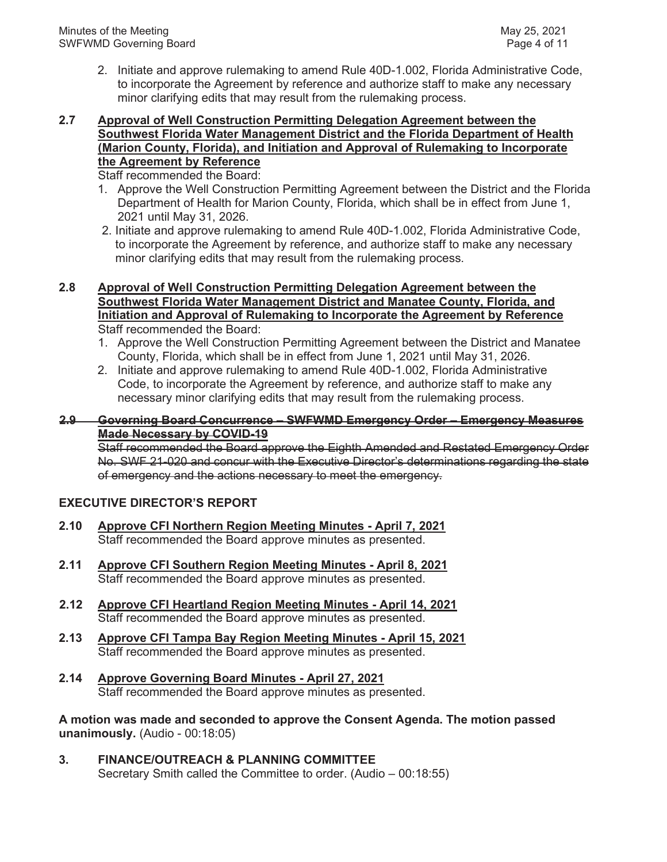2. Initiate and approve rulemaking to amend Rule 40D-1.002, Florida Administrative Code, to incorporate the Agreement by reference and authorize staff to make any necessary minor clarifying edits that may result from the rulemaking process.

### **2.7 Approval of Well Construction Permitting Delegation Agreement between the Southwest Florida Water Management District and the Florida Department of Health (Marion County, Florida), and Initiation and Approval of Rulemaking to Incorporate the Agreement by Reference**

Staff recommended the Board:

- 1. Approve the Well Construction Permitting Agreement between the District and the Florida Department of Health for Marion County, Florida, which shall be in effect from June 1, 2021 until May 31, 2026.
- 2. Initiate and approve rulemaking to amend Rule 40D-1.002, Florida Administrative Code, to incorporate the Agreement by reference, and authorize staff to make any necessary minor clarifying edits that may result from the rulemaking process.
- **2.8 Approval of Well Construction Permitting Delegation Agreement between the Southwest Florida Water Management District and Manatee County, Florida, and Initiation and Approval of Rulemaking to Incorporate the Agreement by Reference** Staff recommended the Board:
	- 1. Approve the Well Construction Permitting Agreement between the District and Manatee County, Florida, which shall be in effect from June 1, 2021 until May 31, 2026.
	- 2. Initiate and approve rulemaking to amend Rule 40D-1.002, Florida Administrative Code, to incorporate the Agreement by reference, and authorize staff to make any necessary minor clarifying edits that may result from the rulemaking process.

#### **2.9 Governing Board Concurrence – SWFWMD Emergency Order – Emergency Measures Made Necessary by COVID-19**

Staff recommended the Board approve the Eighth Amended and Restated Emergency Order No. SWF 21-020 and concur with the Executive Director's determinations regarding the state of emergency and the actions necessary to meet the emergency.

# **EXECUTIVE DIRECTOR'S REPORT**

- **2.10 Approve CFI Northern Region Meeting Minutes April 7, 2021** Staff recommended the Board approve minutes as presented.
- **2.11 Approve CFI Southern Region Meeting Minutes April 8, 2021**  Staff recommended the Board approve minutes as presented.
- **2.12 Approve CFI Heartland Region Meeting Minutes April 14, 2021** Staff recommended the Board approve minutes as presented.
- **2.13 Approve CFI Tampa Bay Region Meeting Minutes April 15, 2021** Staff recommended the Board approve minutes as presented.
- **2.14 Approve Governing Board Minutes April 27, 2021** Staff recommended the Board approve minutes as presented.

**A motion was made and seconded to approve the Consent Agenda. The motion passed unanimously.** (Audio - 00:18:05)

**3. FINANCE/OUTREACH & PLANNING COMMITTEE** Secretary Smith called the Committee to order. (Audio – 00:18:55)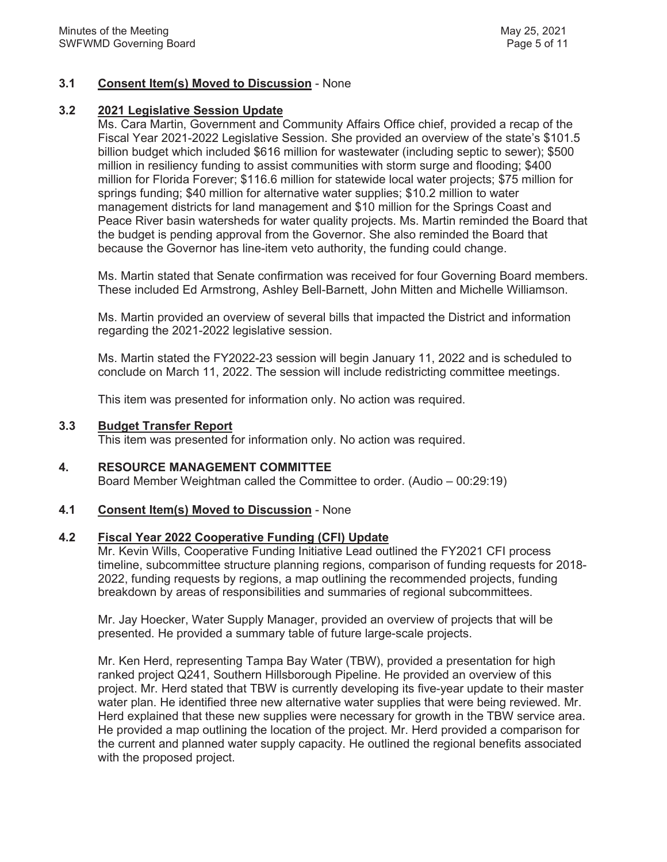### **3.1 Consent Item(s) Moved to Discussion** - None

### **3.2 2021 Legislative Session Update**

Ms. Cara Martin, Government and Community Affairs Office chief, provided a recap of the Fiscal Year 2021-2022 Legislative Session. She provided an overview of the state's \$101.5 billion budget which included \$616 million for wastewater (including septic to sewer); \$500 million in resiliency funding to assist communities with storm surge and flooding; \$400 million for Florida Forever; \$116.6 million for statewide local water projects; \$75 million for springs funding; \$40 million for alternative water supplies; \$10.2 million to water management districts for land management and \$10 million for the Springs Coast and Peace River basin watersheds for water quality projects. Ms. Martin reminded the Board that the budget is pending approval from the Governor. She also reminded the Board that because the Governor has line-item veto authority, the funding could change.

Ms. Martin stated that Senate confirmation was received for four Governing Board members. These included Ed Armstrong, Ashley Bell-Barnett, John Mitten and Michelle Williamson.

Ms. Martin provided an overview of several bills that impacted the District and information regarding the 2021-2022 legislative session.

Ms. Martin stated the FY2022-23 session will begin January 11, 2022 and is scheduled to conclude on March 11, 2022. The session will include redistricting committee meetings.

This item was presented for information only. No action was required.

#### **3.3 Budget Transfer Report**

This item was presented for information only. No action was required.

### **4. RESOURCE MANAGEMENT COMMITTEE**

Board Member Weightman called the Committee to order. (Audio – 00:29:19)

### **4.1 Consent Item(s) Moved to Discussion** - None

#### **4.2 Fiscal Year 2022 Cooperative Funding (CFI) Update**

Mr. Kevin Wills, Cooperative Funding Initiative Lead outlined the FY2021 CFI process timeline, subcommittee structure planning regions, comparison of funding requests for 2018- 2022, funding requests by regions, a map outlining the recommended projects, funding breakdown by areas of responsibilities and summaries of regional subcommittees.

Mr. Jay Hoecker, Water Supply Manager, provided an overview of projects that will be presented. He provided a summary table of future large-scale projects.

Mr. Ken Herd, representing Tampa Bay Water (TBW), provided a presentation for high ranked project Q241, Southern Hillsborough Pipeline. He provided an overview of this project. Mr. Herd stated that TBW is currently developing its five-year update to their master water plan. He identified three new alternative water supplies that were being reviewed. Mr. Herd explained that these new supplies were necessary for growth in the TBW service area. He provided a map outlining the location of the project. Mr. Herd provided a comparison for the current and planned water supply capacity. He outlined the regional benefits associated with the proposed project.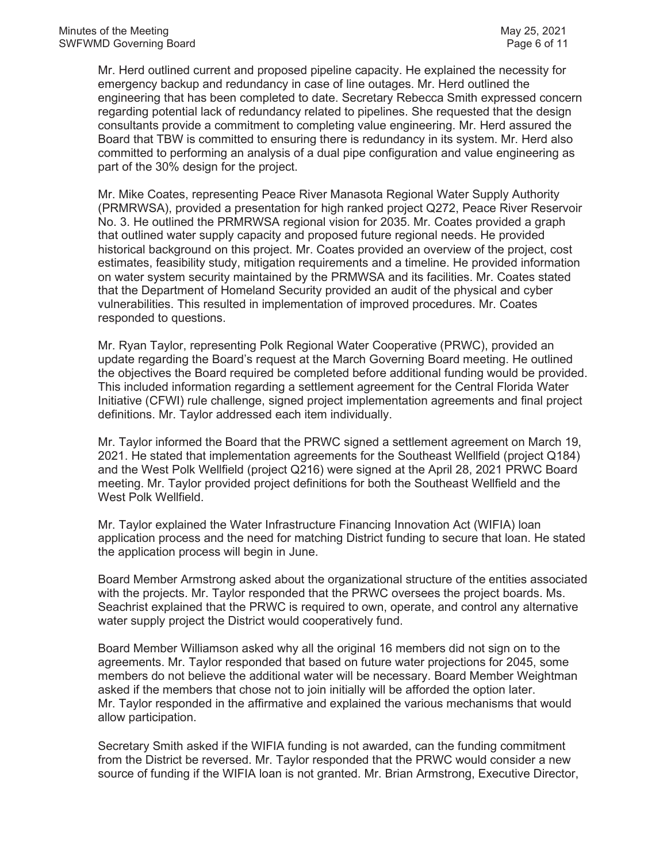Mr. Herd outlined current and proposed pipeline capacity. He explained the necessity for emergency backup and redundancy in case of line outages. Mr. Herd outlined the engineering that has been completed to date. Secretary Rebecca Smith expressed concern regarding potential lack of redundancy related to pipelines. She requested that the design consultants provide a commitment to completing value engineering. Mr. Herd assured the Board that TBW is committed to ensuring there is redundancy in its system. Mr. Herd also committed to performing an analysis of a dual pipe configuration and value engineering as part of the 30% design for the project.

Mr. Mike Coates, representing Peace River Manasota Regional Water Supply Authority (PRMRWSA), provided a presentation for high ranked project Q272, Peace River Reservoir No. 3. He outlined the PRMRWSA regional vision for 2035. Mr. Coates provided a graph that outlined water supply capacity and proposed future regional needs. He provided historical background on this project. Mr. Coates provided an overview of the project, cost estimates, feasibility study, mitigation requirements and a timeline. He provided information on water system security maintained by the PRMWSA and its facilities. Mr. Coates stated that the Department of Homeland Security provided an audit of the physical and cyber vulnerabilities. This resulted in implementation of improved procedures. Mr. Coates responded to questions.

Mr. Ryan Taylor, representing Polk Regional Water Cooperative (PRWC), provided an update regarding the Board's request at the March Governing Board meeting. He outlined the objectives the Board required be completed before additional funding would be provided. This included information regarding a settlement agreement for the Central Florida Water Initiative (CFWI) rule challenge, signed project implementation agreements and final project definitions. Mr. Taylor addressed each item individually.

Mr. Taylor informed the Board that the PRWC signed a settlement agreement on March 19, 2021. He stated that implementation agreements for the Southeast Wellfield (project Q184) and the West Polk Wellfield (project Q216) were signed at the April 28, 2021 PRWC Board meeting. Mr. Taylor provided project definitions for both the Southeast Wellfield and the West Polk Wellfield.

Mr. Taylor explained the Water Infrastructure Financing Innovation Act (WIFIA) loan application process and the need for matching District funding to secure that loan. He stated the application process will begin in June.

Board Member Armstrong asked about the organizational structure of the entities associated with the projects. Mr. Taylor responded that the PRWC oversees the project boards. Ms. Seachrist explained that the PRWC is required to own, operate, and control any alternative water supply project the District would cooperatively fund.

Board Member Williamson asked why all the original 16 members did not sign on to the agreements. Mr. Taylor responded that based on future water projections for 2045, some members do not believe the additional water will be necessary. Board Member Weightman asked if the members that chose not to join initially will be afforded the option later. Mr. Taylor responded in the affirmative and explained the various mechanisms that would allow participation.

Secretary Smith asked if the WIFIA funding is not awarded, can the funding commitment from the District be reversed. Mr. Taylor responded that the PRWC would consider a new source of funding if the WIFIA loan is not granted. Mr. Brian Armstrong, Executive Director,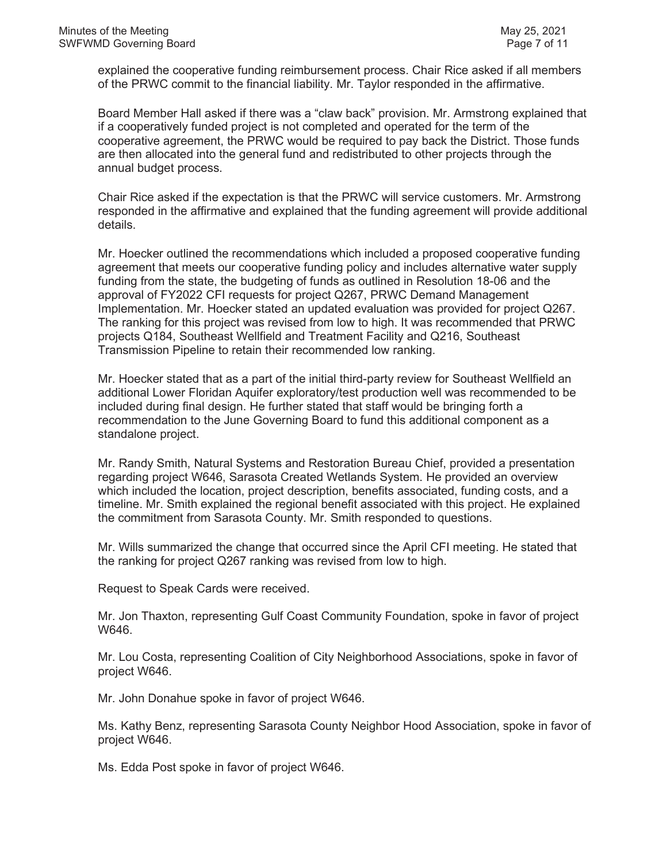explained the cooperative funding reimbursement process. Chair Rice asked if all members of the PRWC commit to the financial liability. Mr. Taylor responded in the affirmative.

Board Member Hall asked if there was a "claw back" provision. Mr. Armstrong explained that if a cooperatively funded project is not completed and operated for the term of the cooperative agreement, the PRWC would be required to pay back the District. Those funds are then allocated into the general fund and redistributed to other projects through the annual budget process.

Chair Rice asked if the expectation is that the PRWC will service customers. Mr. Armstrong responded in the affirmative and explained that the funding agreement will provide additional details.

Mr. Hoecker outlined the recommendations which included a proposed cooperative funding agreement that meets our cooperative funding policy and includes alternative water supply funding from the state, the budgeting of funds as outlined in Resolution 18-06 and the approval of FY2022 CFI requests for project Q267, PRWC Demand Management Implementation. Mr. Hoecker stated an updated evaluation was provided for project Q267. The ranking for this project was revised from low to high. It was recommended that PRWC projects Q184, Southeast Wellfield and Treatment Facility and Q216, Southeast Transmission Pipeline to retain their recommended low ranking.

Mr. Hoecker stated that as a part of the initial third-party review for Southeast Wellfield an additional Lower Floridan Aquifer exploratory/test production well was recommended to be included during final design. He further stated that staff would be bringing forth a recommendation to the June Governing Board to fund this additional component as a standalone project.

Mr. Randy Smith, Natural Systems and Restoration Bureau Chief, provided a presentation regarding project W646, Sarasota Created Wetlands System. He provided an overview which included the location, project description, benefits associated, funding costs, and a timeline. Mr. Smith explained the regional benefit associated with this project. He explained the commitment from Sarasota County. Mr. Smith responded to questions.

Mr. Wills summarized the change that occurred since the April CFI meeting. He stated that the ranking for project Q267 ranking was revised from low to high.

Request to Speak Cards were received.

Mr. Jon Thaxton, representing Gulf Coast Community Foundation, spoke in favor of project W646.

Mr. Lou Costa, representing Coalition of City Neighborhood Associations, spoke in favor of project W646.

Mr. John Donahue spoke in favor of project W646.

Ms. Kathy Benz, representing Sarasota County Neighbor Hood Association, spoke in favor of project W646.

Ms. Edda Post spoke in favor of project W646.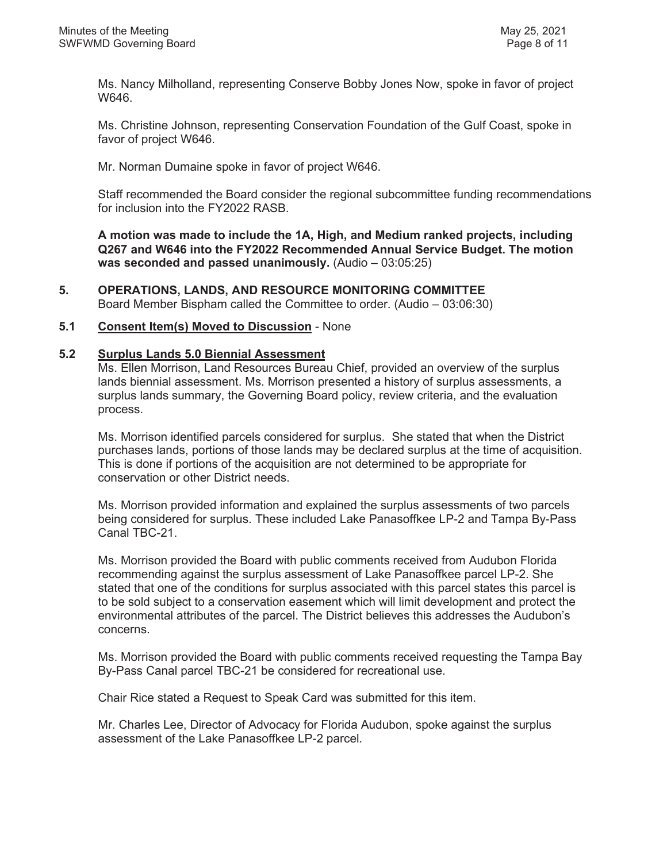Ms. Nancy Milholland, representing Conserve Bobby Jones Now, spoke in favor of project W646.

Ms. Christine Johnson, representing Conservation Foundation of the Gulf Coast, spoke in favor of project W646.

Mr. Norman Dumaine spoke in favor of project W646.

Staff recommended the Board consider the regional subcommittee funding recommendations for inclusion into the FY2022 RASB.

**A motion was made to include the 1A, High, and Medium ranked projects, including Q267 and W646 into the FY2022 Recommended Annual Service Budget. The motion was seconded and passed unanimously.** (Audio – 03:05:25)

**5. OPERATIONS, LANDS, AND RESOURCE MONITORING COMMITTEE** Board Member Bispham called the Committee to order. (Audio – 03:06:30)

### **5.1 Consent Item(s) Moved to Discussion** - None

#### **5.2 Surplus Lands 5.0 Biennial Assessment**

Ms. Ellen Morrison, Land Resources Bureau Chief, provided an overview of the surplus lands biennial assessment. Ms. Morrison presented a history of surplus assessments, a surplus lands summary, the Governing Board policy, review criteria, and the evaluation process.

Ms. Morrison identified parcels considered for surplus. She stated that when the District purchases lands, portions of those lands may be declared surplus at the time of acquisition. This is done if portions of the acquisition are not determined to be appropriate for conservation or other District needs.

Ms. Morrison provided information and explained the surplus assessments of two parcels being considered for surplus. These included Lake Panasoffkee LP-2 and Tampa By-Pass Canal TBC-21.

Ms. Morrison provided the Board with public comments received from Audubon Florida recommending against the surplus assessment of Lake Panasoffkee parcel LP-2. She stated that one of the conditions for surplus associated with this parcel states this parcel is to be sold subject to a conservation easement which will limit development and protect the environmental attributes of the parcel. The District believes this addresses the Audubon's concerns.

Ms. Morrison provided the Board with public comments received requesting the Tampa Bay By-Pass Canal parcel TBC-21 be considered for recreational use.

Chair Rice stated a Request to Speak Card was submitted for this item.

Mr. Charles Lee, Director of Advocacy for Florida Audubon, spoke against the surplus assessment of the Lake Panasoffkee LP-2 parcel.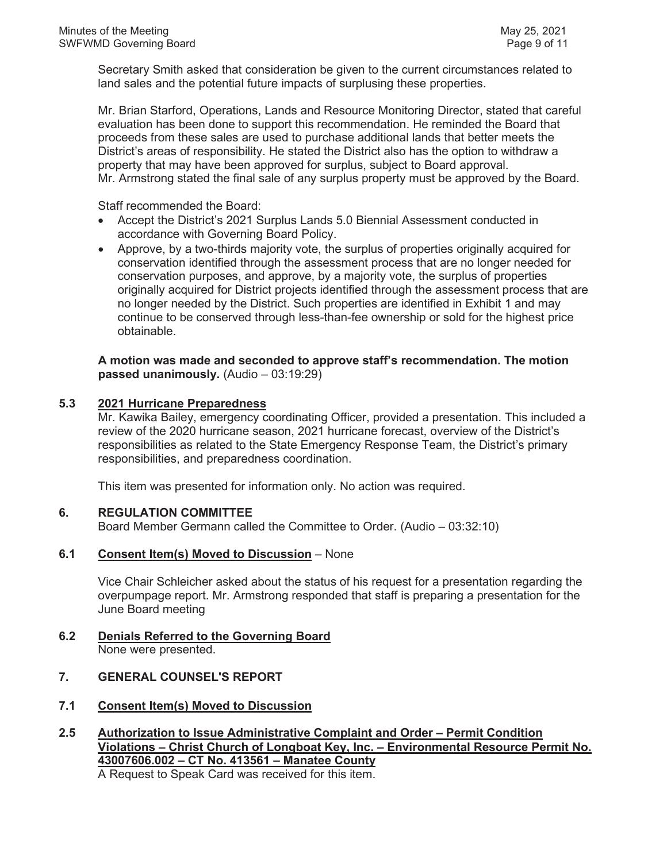Secretary Smith asked that consideration be given to the current circumstances related to land sales and the potential future impacts of surplusing these properties.

Mr. Brian Starford, Operations, Lands and Resource Monitoring Director, stated that careful evaluation has been done to support this recommendation. He reminded the Board that proceeds from these sales are used to purchase additional lands that better meets the District's areas of responsibility. He stated the District also has the option to withdraw a property that may have been approved for surplus, subject to Board approval. Mr. Armstrong stated the final sale of any surplus property must be approved by the Board.

Staff recommended the Board:

- Accept the District's 2021 Surplus Lands 5.0 Biennial Assessment conducted in accordance with Governing Board Policy.
- Approve, by a two-thirds majority vote, the surplus of properties originally acquired for conservation identified through the assessment process that are no longer needed for conservation purposes, and approve, by a majority vote, the surplus of properties originally acquired for District projects identified through the assessment process that are no longer needed by the District. Such properties are identified in Exhibit 1 and may continue to be conserved through less-than-fee ownership or sold for the highest price obtainable.

**A motion was made and seconded to approve staff's recommendation. The motion passed unanimously.** (Audio – 03:19:29)

# **5.3 2021 Hurricane Preparedness**

Mr. Kawika Bailey, emergency coordinating Officer, provided a presentation. This included a review of the 2020 hurricane season, 2021 hurricane forecast, overview of the District's responsibilities as related to the State Emergency Response Team, the District's primary responsibilities, and preparedness coordination.

This item was presented for information only. No action was required.

#### **6. REGULATION COMMITTEE**

Board Member Germann called the Committee to Order. (Audio – 03:32:10)

#### **6.1 Consent Item(s) Moved to Discussion** – None

Vice Chair Schleicher asked about the status of his request for a presentation regarding the overpumpage report. Mr. Armstrong responded that staff is preparing a presentation for the June Board meeting

**6.2 Denials Referred to the Governing Board** None were presented.

# **7. GENERAL COUNSEL'S REPORT**

- **7.1 Consent Item(s) Moved to Discussion**
- **2.5 Authorization to Issue Administrative Complaint and Order Permit Condition Violations – Christ Church of Longboat Key, Inc. – Environmental Resource Permit No. 43007606.002 – CT No. 413561 – Manatee County**

A Request to Speak Card was received for this item.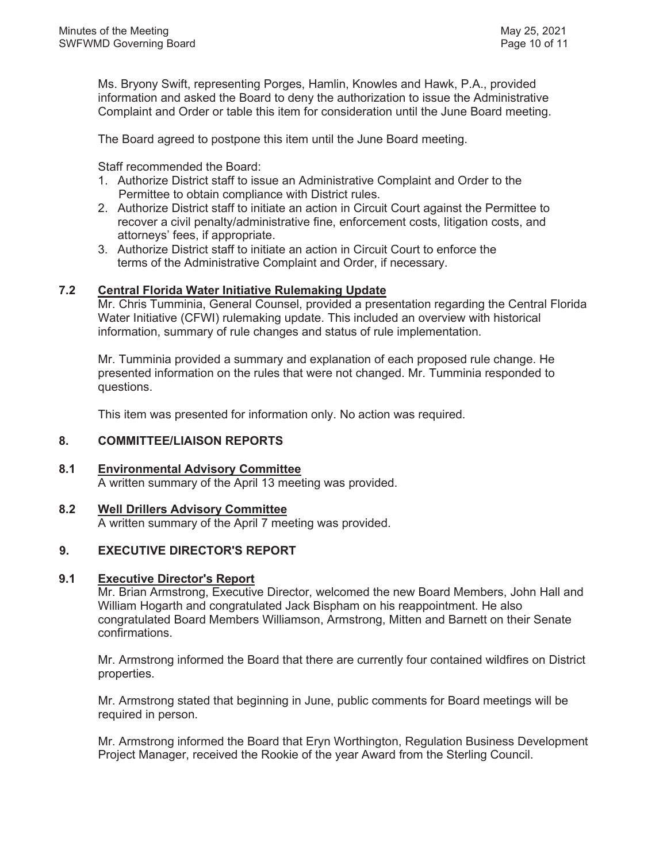Ms. Bryony Swift, representing Porges, Hamlin, Knowles and Hawk, P.A., provided information and asked the Board to deny the authorization to issue the Administrative Complaint and Order or table this item for consideration until the June Board meeting.

The Board agreed to postpone this item until the June Board meeting.

Staff recommended the Board:

- 1. Authorize District staff to issue an Administrative Complaint and Order to the Permittee to obtain compliance with District rules.
- 2. Authorize District staff to initiate an action in Circuit Court against the Permittee to recover a civil penalty/administrative fine, enforcement costs, litigation costs, and attorneys' fees, if appropriate.
- 3. Authorize District staff to initiate an action in Circuit Court to enforce the terms of the Administrative Complaint and Order, if necessary.

# **7.2 Central Florida Water Initiative Rulemaking Update**

Mr. Chris Tumminia, General Counsel, provided a presentation regarding the Central Florida Water Initiative (CFWI) rulemaking update. This included an overview with historical information, summary of rule changes and status of rule implementation.

Mr. Tumminia provided a summary and explanation of each proposed rule change. He presented information on the rules that were not changed. Mr. Tumminia responded to questions.

This item was presented for information only. No action was required.

# **8. COMMITTEE/LIAISON REPORTS**

# **8.1 Environmental Advisory Committee**

A written summary of the April 13 meeting was provided.

# **8.2 Well Drillers Advisory Committee**

A written summary of the April 7 meeting was provided.

# **9. EXECUTIVE DIRECTOR'S REPORT**

# **9.1 Executive Director's Report**

Mr. Brian Armstrong, Executive Director, welcomed the new Board Members, John Hall and William Hogarth and congratulated Jack Bispham on his reappointment. He also congratulated Board Members Williamson, Armstrong, Mitten and Barnett on their Senate confirmations.

Mr. Armstrong informed the Board that there are currently four contained wildfires on District properties.

Mr. Armstrong stated that beginning in June, public comments for Board meetings will be required in person.

Mr. Armstrong informed the Board that Eryn Worthington, Regulation Business Development Project Manager, received the Rookie of the year Award from the Sterling Council.